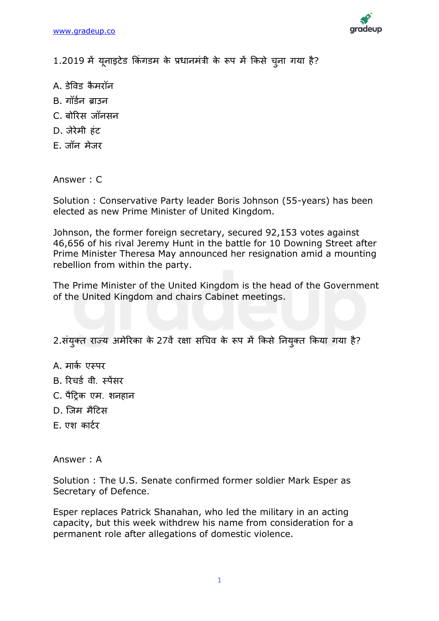

1.2019 में यूनाइटेड किंगडम के प्रधानमंत्री के रूप में किसे चूना गया है?

- A. डेविड कैमरॉन
- B. गॉर्डन बाउन
- C. बोररस जॉनसन
- D. जेरेमी हिंट
- E. जॉन मेजर

Answer : C

Solution : Conservative Party leader Boris Johnson (55-years) has been elected as new Prime Minister of United Kingdom.

Johnson, the former foreign secretary, secured 92,153 votes against 46,656 of his rival Jeremy Hunt in the battle for 10 Downing Street after Prime Minister Theresa May announced her resignation amid a mounting rebellion from within the party.

The Prime Minister of the United Kingdom is the head of the Government of the United Kingdom and chairs Cabinet meetings.

2.संयुक्त राज्य अमेरिका के 27वें रक्षा सचिव के रूप में किसे नियुक्त किया गया है?

- A. मार्क एस्पर
- B. रिचर्ड वी. स्पेंसर
- C. पैट्रिक एम. शनहान
- D. जजम मैट्रटस
- E. एश कार्टर

Answer : A

Solution : The U.S. Senate confirmed former soldier Mark Esper as Secretary of Defence.

Esper replaces Patrick Shanahan, who led the military in an acting capacity, but this week withdrew his name from consideration for a permanent role after allegations of domestic violence.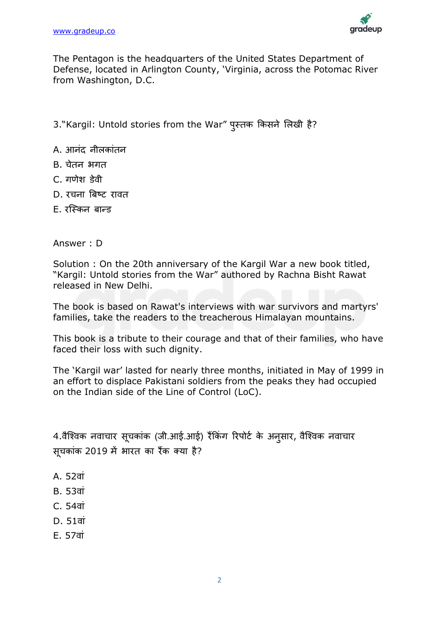

The Pentagon is the headquarters of the United States Department of Defense, located in Arlington County, 'Virginia, across the Potomac River from Washington, D.C.

3."Kargil: Untold stories from the War" पुस्तक ककसने लिखी है?

- A. आनंद नीलकांतन
- B. चेतन भगत
- C. गणेश डेिी
- D. रचना बिष्ट रावत
- $F.$  रस्किन बान्ड

Answer : D

Solution : On the 20th anniversary of the Kargil War a new book titled, "Kargil: Untold stories from the War" authored by Rachna Bisht Rawat released in New Delhi.

The book is based on Rawat's interviews with war survivors and martyrs' families, take the readers to the treacherous Himalayan mountains.

This book is a tribute to their courage and that of their families, who have faced their loss with such dignity.

The 'Kargil war' lasted for nearly three months, initiated in May of 1999 in an effort to displace Pakistani soldiers from the peaks they had occupied on the Indian side of the Line of Control (LoC).

4.वैश्विक नवाचार सूचकांक (जी.आई.आई) रैंकिंग रिपोर्ट के अनुसार, वैश्विक नवाचार सूचकािंक 2019 में भारत का रैंक क्या है?

- A. 52वां
- B. 53िािं
- C. 54िािं
- D. 51िािं
- E. 57िािं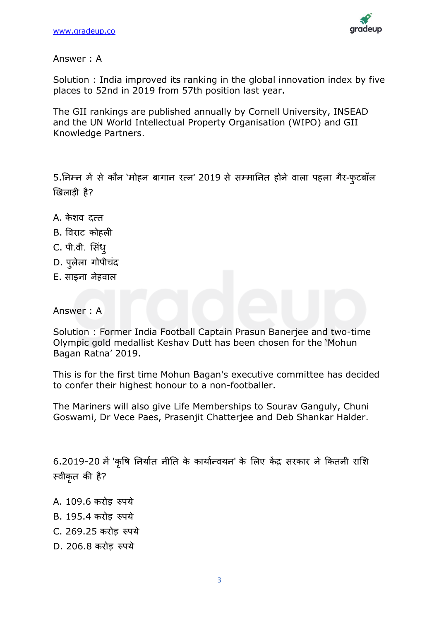

Answer : A

Solution : India improved its ranking in the global innovation index by five places to 52nd in 2019 from 57th position last year.

The GII rankings are published annually by Cornell University, INSEAD and the UN World Intellectual Property Organisation (WIPO) and GII Knowledge Partners.

5.निम्न में से कौन 'मोहन बागान रत्न' 2019 से सम्मानित होने वाला पहला गैर-फुटबॉल खिलाडी है?

- A. केशव दत्त
- B. विराट कोहिी
- C. पी.वी. सिंध
- D. पुलेला गोपीचंद
- E. साइना नेहवाल

Answer : A

Solution : Former India Football Captain Prasun Banerjee and two-time Olympic gold medallist Keshav Dutt has been chosen for the 'Mohun Bagan Ratna' 2019.

This is for the first time Mohun Bagan's executive committee has decided to confer their highest honour to a non-footballer.

The Mariners will also give Life Memberships to Sourav Ganguly, Chuni Goswami, Dr Vece Paes, Prasenjit Chatterjee and Deb Shankar Halder.

6.2019-20 में 'कृषि निर्यात नीति के कार्यान्वयन' के लिए केंद्र सरकार ने कितनी राशि स्वीकृत की है?

- A. 109.6 करोड रुपये
- B. 195.4 करोड रुपये
- C. 269.25 करोड रुपये
- D. 206.8 करोड रुपये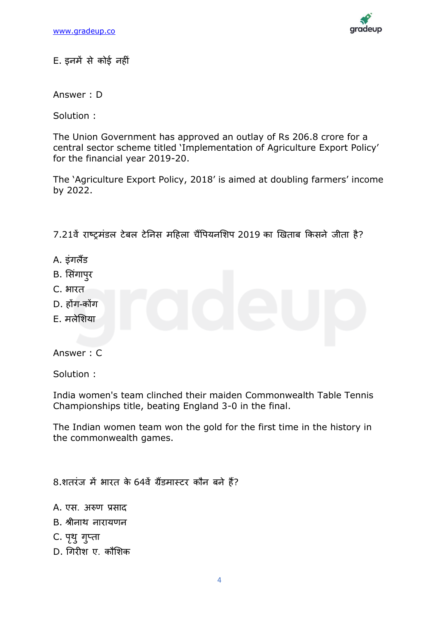

E. इनमें से कोई नहीिं

Answer : D

Solution :

The Union Government has approved an outlay of Rs 206.8 crore for a central sector scheme titled 'Implementation of Agriculture Export Policy' for the financial year 2019-20.

The 'Agriculture Export Policy, 2018' is aimed at doubling farmers' income by 2022.

7.21वें राष्ट्रमंडल टेबल टेनिस महिला चैंपियनशिप 2019 का खिताब किसने जीता है?

- A. इंगलैंड
- B. सिंगापुर
- C. भारत
- D. होंग-कोंग
- E. मिेलशया

Answer : C

Solution :

India women's team clinched their maiden Commonwealth Table Tennis Championships title, beating England 3-0 in the final.

The Indian women team won the gold for the first time in the history in the commonwealth games.

8.शतरिंज में भारत के 64िें ग्रैंडमास्टर कौन बने हैं?

- A. एस. अरुण प्रसाद
- B. श्रीनाथ नारायणन
- C. पृथु गुप्ता
- D. चगरीश ए. कौलशक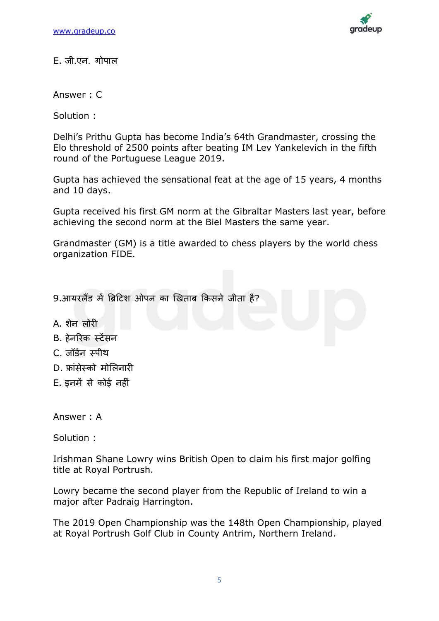

 $E.$  जी.एन. गोपाल

Answer : C

Solution :

Delhi's Prithu Gupta has become India's 64th Grandmaster, crossing the Elo threshold of 2500 points after beating IM Lev Yankelevich in the fifth round of the Portuguese League 2019.

Gupta has achieved the sensational feat at the age of 15 years, 4 months and 10 days.

Gupta received his first GM norm at the Gibraltar Masters last year, before achieving the second norm at the Biel Masters the same year.

Grandmaster (GM) is a title awarded to chess players by the world chess organization FIDE.

9.आयरलैंड में ब्रिटिश ओपन का खिताब किसने जीता है?

- A. शेन िोरी
- B. हेनररक स्टेंसन
- C. जॉडडन स्पीथ
- D. फ्ािंसेस्को मोलिनारी
- E. इनमें से कोई नहीिं

Answer : A

Solution :

Irishman Shane Lowry wins British Open to claim his first major golfing title at Royal Portrush.

Lowry became the second player from the Republic of Ireland to win a major after Padraig Harrington.

The 2019 Open Championship was the 148th Open Championship, played at Royal Portrush Golf Club in County Antrim, Northern Ireland.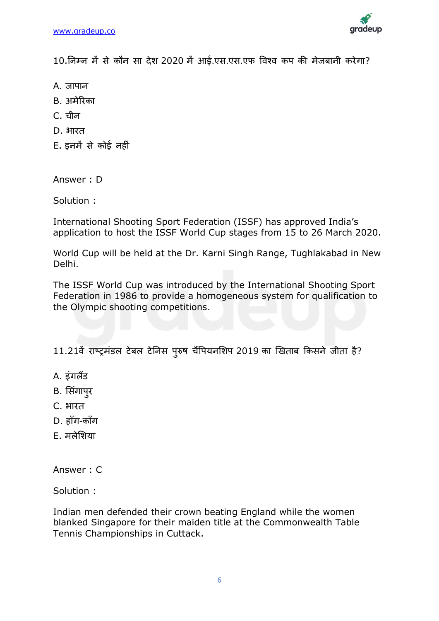

10.ननम्न में से कौन सा देश 2020 में आई.एस.एस.एफ विवि कप की मेजबानी करेगा?

- A. जापान
- B. अमेररका
- C. चीन
- D. भारत
- E. इनमें से कोई नहीिं

Answer : D

Solution :

International Shooting Sport Federation (ISSF) has approved India's application to host the ISSF World Cup stages from 15 to 26 March 2020.

World Cup will be held at the Dr. Karni Singh Range, Tughlakabad in New Delhi.

The ISSF World Cup was introduced by the International Shooting Sport Federation in 1986 to provide a homogeneous system for qualification to the Olympic shooting competitions.

11.21वें राष्ट्रमंडल टेबल टेनिस पुरुष चैंपियनशिप 2019 का खिताब किसने जीता है?

- A. इिंगिैंड
- B. सिंगापुर
- C. भारत
- D. हााँग-कााँग
- E. मिेलशया

Answer : C

Solution :

Indian men defended their crown beating England while the women blanked Singapore for their maiden title at the Commonwealth Table Tennis Championships in Cuttack.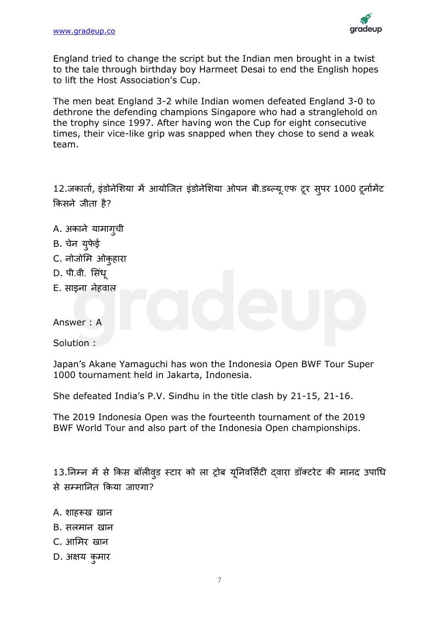

England tried to change the script but the Indian men brought in a twist to the tale through birthday boy Harmeet Desai to end the English hopes to lift the Host Association's Cup.

The men beat England 3-2 while Indian women defeated England 3-0 to dethrone the defending champions Singapore who had a stranglehold on the trophy since 1997. After having won the Cup for eight consecutive times, their vice-like grip was snapped when they chose to send a weak team.

12.जकार्ता, इंडोनेशिया में आयोजित इंडोनेशिया ओपन बी.डब्ल्यू.एफ टूर सुपर 1000 टूर्नामेंट ककसने जीता है?

- A. अकाने यामागुची
- B. चने युफेई
- C. नोजोमि ओकुहारा
- D. पी.वी. सिंध
- E. साइना नेहवाल

Answer : A

Solution :

Japan's Akane Yamaguchi has won the Indonesia Open BWF Tour Super 1000 tournament held in Jakarta, Indonesia.

She defeated India's P.V. Sindhu in the title clash by 21-15, 21-16.

The 2019 Indonesia Open was the fourteenth tournament of the 2019 BWF World Tour and also part of the Indonesia Open championships.

13.निम्न में से किस बॉलीवड स्टार को ला ट्रोब यूनिवर्सिटी दवारा डॉक्टरेट की मानद उपाधि से सम्माननत ककया जाएगा?

- A. शाहरूख खान
- B. सिमान खान
- C. आलमर खान
- D. अक्षय कुमार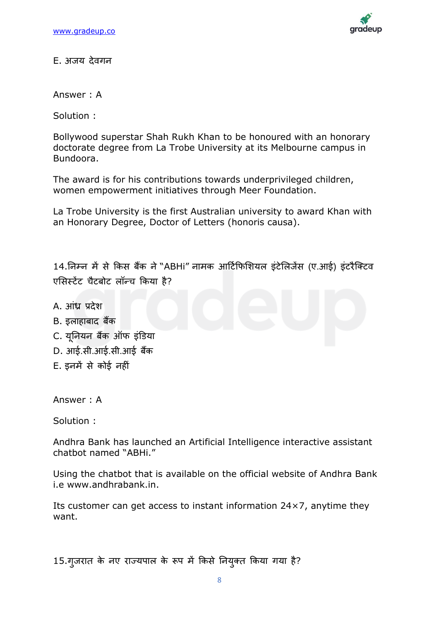

E. अजय देवगन

Answer : A

Solution :

Bollywood superstar Shah Rukh Khan to be honoured with an honorary doctorate degree from La Trobe University at its Melbourne campus in Bundoora.

The award is for his contributions towards underprivileged children, women empowerment initiatives through Meer Foundation.

La Trobe University is the first Australian university to award Khan with an Honorary Degree, Doctor of Letters (honoris causa).

14.निम्न में से किस बैंक ने "ABHi" नामक आर्टिफिशियल इंटेलिजेंस (ए.आई) इंटरैक्टिव एसिस्टेंट चैटबोट लॉन्च किया है?

- A. आिंध्र प्रदेश
- B. इलाहाबाद बैंक
- C. यूननयन बकैं ऑफ इिंडडया
- D. आई.सी.आई.सी.आई बैंक
- E. इनमें से कोई नहीिं

Answer : A

Solution :

Andhra Bank has launched an Artificial Intelligence interactive assistant chatbot named "ABHi."

Using the chatbot that is available on the official website of Andhra Bank i.e www.andhrabank.in.

Its customer can get access to instant information  $24 \times 7$ , anytime they want.

15.गुजरात के नए राज्यपाल के रूप में किसे नियुक्त किया गया है?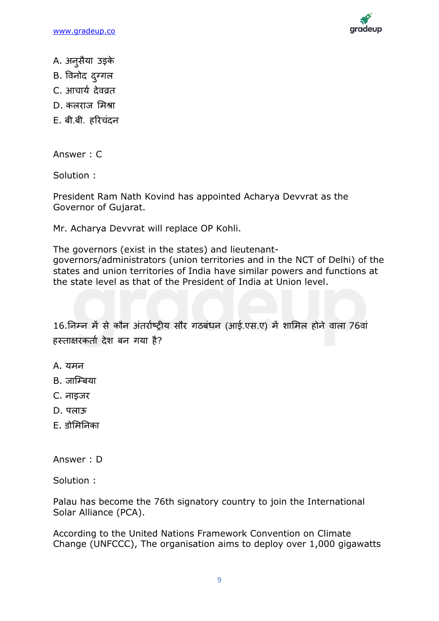

- A. अनुसैया उइके
- B. विनोद दुग्गल
- C. आचार्य देवव्रत
- D. किराज लमश्रा
- E. बी.बी. हररचिंदन

Answer : C

Solution :

President Ram Nath Kovind has appointed Acharya Devvrat as the Governor of Gujarat.

Mr. Acharya Devvrat will replace OP Kohli.

The governors (exist in the states) and lieutenantgovernors/administrators (union territories and in the NCT of Delhi) of the states and union territories of India have similar powers and functions at the state level as that of the President of India at Union level.

16.निम्न में से कौन अंतर्राष्ट्रीय सौर गठबंधन (आई.एस.ए) में शामिल होने वाला 76वां हस्ताक्षरकर्ता देश बन गया है?

- A. यमन
- B. जाजम्बया
- C. नाइजर
- D. पलाऊ
- $F$  बोमिनिका

Answer : D

Solution :

Palau has become the 76th signatory country to join the International Solar Alliance (PCA).

According to the United Nations Framework Convention on Climate Change (UNFCCC), The organisation aims to deploy over 1,000 gigawatts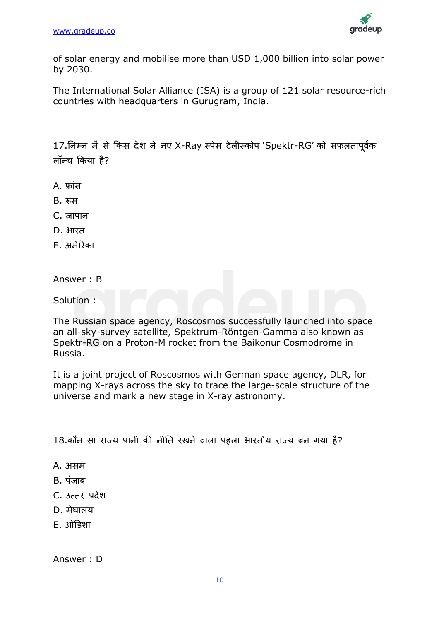

of solar energy and mobilise more than USD 1,000 billion into solar power by 2030.

The International Solar Alliance (ISA) is a group of 121 solar resource-rich countries with headquarters in Gurugram, India.

17.निम्न में से किस देश ने नए X-Ray स्पेस टेलीस्कोप 'Spektr-RG' को सफलतापूर्वक लॉन्च किया है?

- A. फ्ािंस
- B. रूस
- C. जापान
- D. भारत
- E. अमेररका
- Answer : B

Solution :

The Russian space agency, Roscosmos successfully launched into space an all-sky-survey satellite, Spektrum-Röntgen-Gamma also known as Spektr-RG on a Proton-M rocket from the Baikonur Cosmodrome in Russia.

It is a joint project of Roscosmos with German space agency, DLR, for mapping X-rays across the sky to trace the large-scale structure of the universe and mark a new stage in X-ray astronomy.

18.कौन सा राज्य पानी की नीति रखने वाला पहला भारतीय राज्य बन गया है?

- A. असम
- B. पंजाब
- C. उत्तर प्रदेश
- $D.$  मेघालय
- $F.$   $\overrightarrow{3}$  $\overrightarrow{1}$  $\overrightarrow{3}$  $\overrightarrow{2}$

Answer : D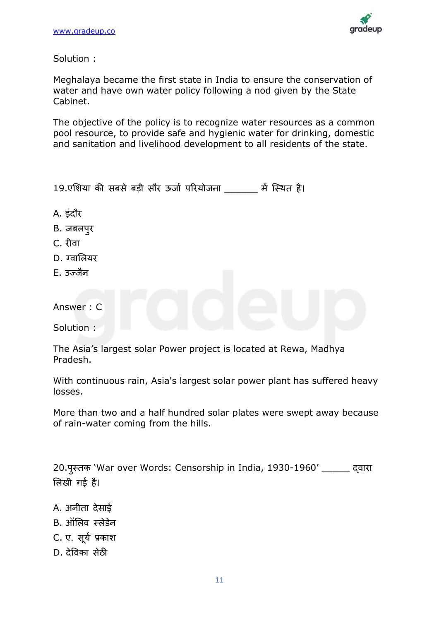

Solution :

Meghalaya became the first state in India to ensure the conservation of water and have own water policy following a nod given by the State Cabinet.

The objective of the policy is to recognize water resources as a common pool resource, to provide safe and hygienic water for drinking, domestic and sanitation and livelihood development to all residents of the state.

| 19.एशिया की सबसे बड़ी सौर ऊर्जा परियोजना |  |  |  |  |  |  |  | में स्थित है। |  |
|------------------------------------------|--|--|--|--|--|--|--|---------------|--|
|------------------------------------------|--|--|--|--|--|--|--|---------------|--|

- A. इंदौर
- B. जबलपुर
- C. रीवा
- $D.$  ग्वालियर
- $E.$  उज़्ज़ैन

Answer : C

Solution :

The Asia's largest solar Power project is located at Rewa, Madhya Pradesh.

With continuous rain, Asia's largest solar power plant has suffered heavy losses.

More than two and a half hundred solar plates were swept away because of rain-water coming from the hills.

20.पुस्तक 'War over Words: Censorship in India, 1930-1960' \_\_\_\_\_ दवारा लिखी गई है।

- A. अनीता देसाई
- B. ऑलिव स्लेडेन
- C. ए. सूर्य प्रकाश
- D. देविका सेठी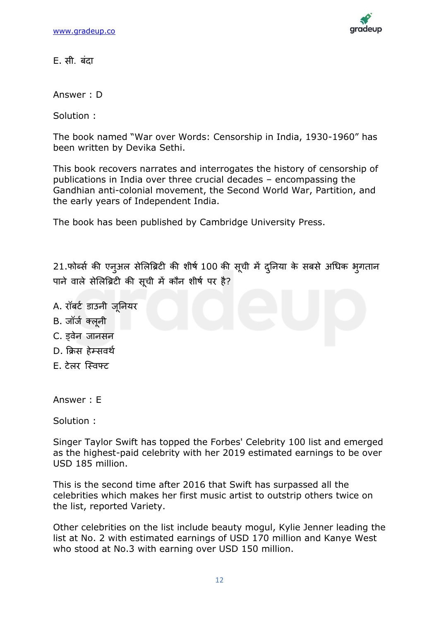

E. सी. बिंदा

Answer : D

Solution :

The book named "War over Words: Censorship in India, 1930-1960" has been written by Devika Sethi.

This book recovers narrates and interrogates the history of censorship of publications in India over three crucial decades – encompassing the Gandhian anti-colonial movement, the Second World War, Partition, and the early years of Independent India.

The book has been published by Cambridge University Press.

21.फोर्ब्स की एन्अल सेलिब्रिटी की शीर्ष 100 की सूची में दुनिया के सबसे अधिक भृगतान पाने वाले सेलिब्रिटी की सूची में कौन शीर्ष पर है?

- A. रॉबर्ट डाउनी जुनियर
- B. जॉर्ज क्लूनी
- C. डवेन जानसन
- D. क्रिस हेम्सवर्थ
- E. टेलर स्विफ्ट

Answer : E

Solution :

Singer Taylor Swift has topped the Forbes' Celebrity 100 list and emerged as the highest-paid celebrity with her 2019 estimated earnings to be over USD 185 million.

This is the second time after 2016 that Swift has surpassed all the celebrities which makes her first music artist to outstrip others twice on the list, reported Variety.

Other celebrities on the list include beauty mogul, Kylie Jenner leading the list at No. 2 with estimated earnings of USD 170 million and Kanye West who stood at No.3 with earning over USD 150 million.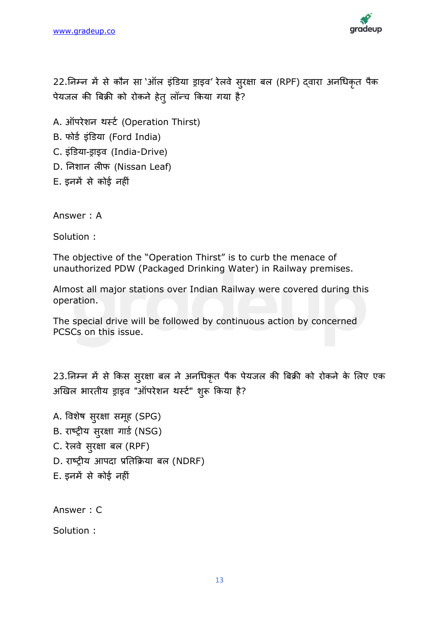

22.निम्न में से कौन सा 'ऑल इंडिया ड्राइव' रेलवे सुरक्षा बल (RPF) दवारा अनधिकृत पैक पेयजल की बिक्री को रोकने हेतु लॉन्च किया गया है?

- A. ऑपरेशन थर्स्ट (Operation Thirst)
- B. फोर्ड इंडिया (Ford India)
- C. इिंडडया-ड्राइि (India-Drive)
- D. निशान लीफ (Nissan Leaf)
- E. इनमें से कोई नहीिं

Answer : A

Solution :

The objective of the "Operation Thirst" is to curb the menace of unauthorized PDW (Packaged Drinking Water) in Railway premises.

Almost all major stations over Indian Railway were covered during this operation.

The special drive will be followed by continuous action by concerned PCSCs on this issue.

23.निम्न में से किस सुरक्षा बल ने अनधिकृत पैक पेयजल की बिक्री को रोकने के लिए एक अखिल भारतीय ड्राइव "ऑपरेशन थर्स्ट" शुरू किया है?

A. विशेष सुरक्षा समूह (SPG) B. राष्ट्रीय सुरक्षा गार्ड (NSG) C. रेलवे सुरक्षा बल (RPF) D. राष्ट्रीय आपदा प्रतिक्रिया बल (NDRF) E. इनमें से कोई नहीिं

Answer : C

Solution :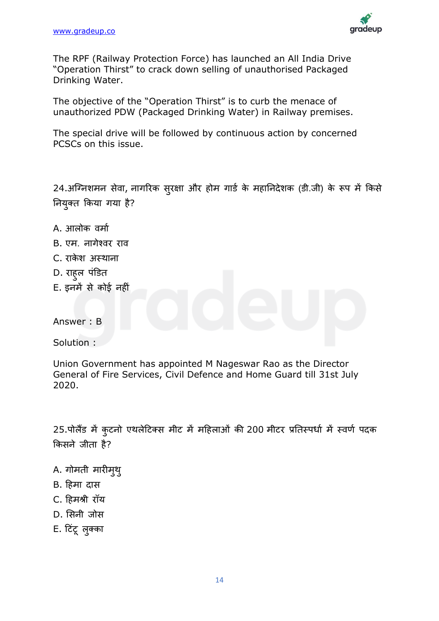

The RPF (Railway Protection Force) has launched an All India Drive "Operation Thirst" to crack down selling of unauthorised Packaged Drinking Water.

The objective of the "Operation Thirst" is to curb the menace of unauthorized PDW (Packaged Drinking Water) in Railway premises.

The special drive will be followed by continuous action by concerned PCSCs on this issue.

24.अग्निशमन सेवा, नागरिक सुरक्षा और होम गार्ड के महानिदेशक (डी.जी) के रूप में किसे ननयुक्त ककया गया है?

- A. आलोक वर्मा
- B. एम. नागेश्वर राव
- C. राकेश अस्थाना
- D. राहल पंडित
- E. इनमें से कोई नहीिं

Answer : B

Solution :

Union Government has appointed M Nageswar Rao as the Director General of Fire Services, Civil Defence and Home Guard till 31st July 2020.

25.पोलैंड में कुटनो एथलेटिक्स मीट में महिलाओं की 200 मीटर प्रतिस्पर्धा में स्वर्ण पदक ककसने जीता है?

- A. गोमती मारीमुथु
- B. ट्रहमा दास
- C. ट्रहमश्री रॉय
- D. लसनी जोस
- E. टिंटू लुक्का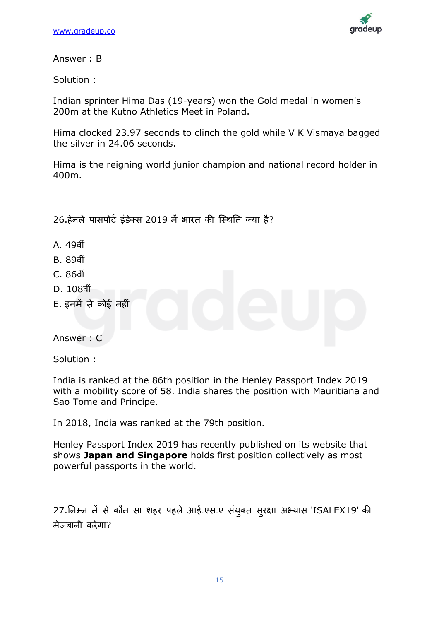

Answer : B

Solution :

Indian sprinter Hima Das (19-years) won the Gold medal in women's 200m at the Kutno Athletics Meet in Poland.

Hima clocked 23.97 seconds to clinch the gold while V K Vismaya bagged the silver in 24.06 seconds.

Hima is the reigning world junior champion and national record holder in 400m.

26.हेनले पासपोर्ट इंडेक्स 2019 में भारत की स्थिति क्या है?

- A. 49िीिं
- B. 89िीिं
- C. 86िीिं
- D. 108वीं
- E. इनमें से कोई नही

Answer : C

Solution :

India is ranked at the 86th position in the Henley Passport Index 2019 with a mobility score of 58. India shares the position with Mauritiana and Sao Tome and Principe.

In 2018, India was ranked at the 79th position.

Henley Passport Index 2019 has recently published on its website that shows **Japan and Singapore** holds first position collectively as most powerful passports in the world.

27.ननम्न में से कौन सा शहर पहिे आई.एस.ए सिंयुक्त सुरक्षा अभ्यास 'ISALEX19' की मेजबानी करेगा?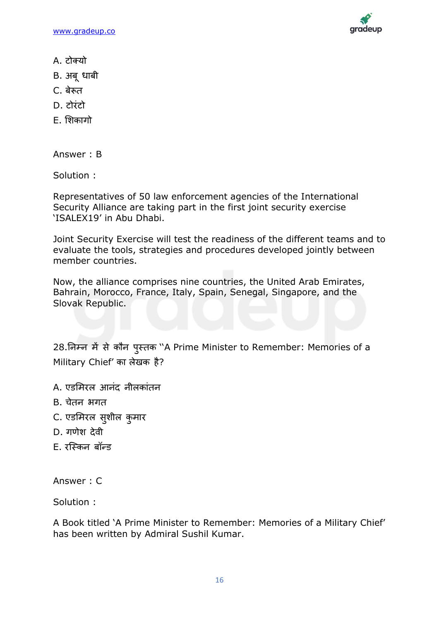[www.gradeup.co](http://www.gradeup.com/)



- A. टोक्यो
- B. अबूधाबी
- C. बेरूत
- D. टोरिंटो
- E. लशकागो

Answer : B

Solution :

Representatives of 50 law enforcement agencies of the International Security Alliance are taking part in the first joint security exercise 'ISALEX19' in Abu Dhabi.

Joint Security Exercise will test the readiness of the different teams and to evaluate the tools, strategies and procedures developed jointly between member countries.

Now, the alliance comprises nine countries, the United Arab Emirates, Bahrain, Morocco, France, Italy, Spain, Senegal, Singapore, and the Slovak Republic.

28.ननम्न में से कौन पुस्तक ''A Prime Minister to Remember: Memories of a Military Chief' का लेखक है?

- A. एडमिरल आनंद नीलकांतन
- B. चेतन भगत
- C. एडमिरल सुशील कुमार
- D. गणेश देिी
- E. रस्किन बॉन्ड

Answer : C

Solution :

A Book titled 'A Prime Minister to Remember: Memories of a Military Chief' has been written by Admiral Sushil Kumar.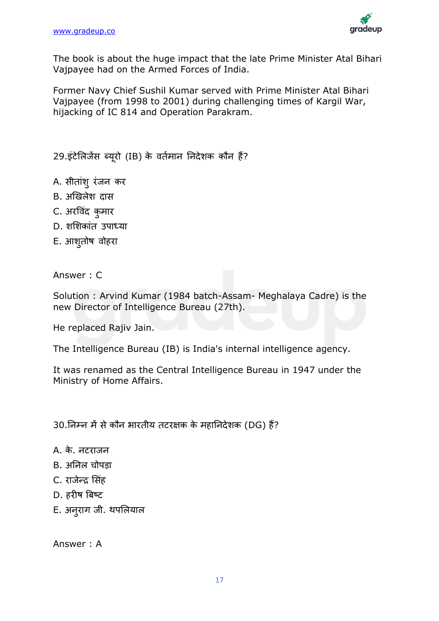

The book is about the huge impact that the late Prime Minister Atal Bihari Vajpayee had on the Armed Forces of India.

Former Navy Chief Sushil Kumar served with Prime Minister Atal Bihari Vajpayee (from 1998 to 2001) during challenging times of Kargil War, hijacking of IC 814 and Operation Parakram.

29.इंटेलिजेंस ब्यूरो (IB) के वर्तमान निदेशक कौन हैं?

- A. सीतांशु रंजन कर
- B. अखिलेश दास
- C. अरविंद कुमार
- D. शशिकांत उपाध्या
- E. आशुतोष वोहरा

Answer : C

Solution : Arvind Kumar (1984 batch-Assam- Meghalaya Cadre) is the new Director of Intelligence Bureau (27th).

He replaced Rajiv Jain.

The Intelligence Bureau (IB) is India's internal intelligence agency.

It was renamed as the Central Intelligence Bureau in 1947 under the Ministry of Home Affairs.

30.निम्न में से कौन भारतीय तटरक्षक के महानिदेशक (DG) हैं?

- A. के. नटराजन
- B. अनिल चोपडा
- C. राजेन्द्र ससिंह
- D. हरीष बिष््ट
- E. अनुराग जी. थपलियाल

Answer : A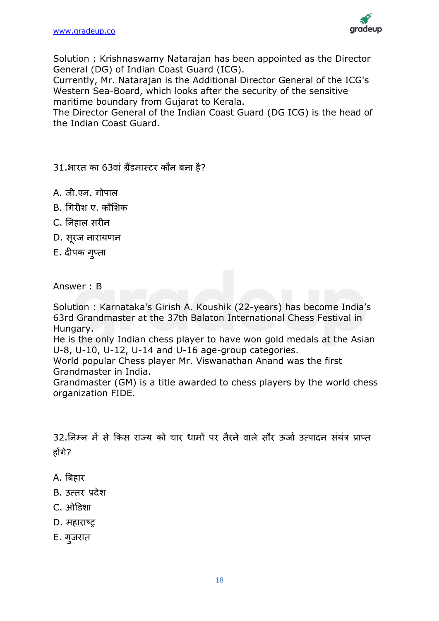

Solution : Krishnaswamy Natarajan has been appointed as the Director General (DG) of Indian Coast Guard (ICG).

Currently, Mr. Natarajan is the Additional Director General of the ICG's Western Sea-Board, which looks after the security of the sensitive maritime boundary from Gujarat to Kerala.

The Director General of the Indian Coast Guard (DG ICG) is the head of the Indian Coast Guard.

31.भारत का 63वां ग्रैंडमास्टर कौन बना है?

- A. जी.एि. गोपाल
- B. गगरीश ए. कौसशक
- C. निहाल सरीन
- D. सूरज नारायणन
- E. दीपक गुप्ता

Answer : B

Solution : Karnataka's Girish A. Koushik (22-years) has become India's 63rd Grandmaster at the 37th Balaton International Chess Festival in Hungary.

He is the only Indian chess player to have won gold medals at the Asian U-8, U-10, U-12, U-14 and U-16 age-group categories.

World popular Chess player Mr. Viswanathan Anand was the first Grandmaster in India.

Grandmaster (GM) is a title awarded to chess players by the world chess organization FIDE.

32.निम्न में से किस राज्य को चार धामों पर तैरने वाले सौर ऊर्जा उत्पादन संयंत्र प्राप्त होंगे?

- A. बिहार
- B. उत्तर प्रदेश
- C. ओडडशा
- D. महाराष्ट
- E. गुजरात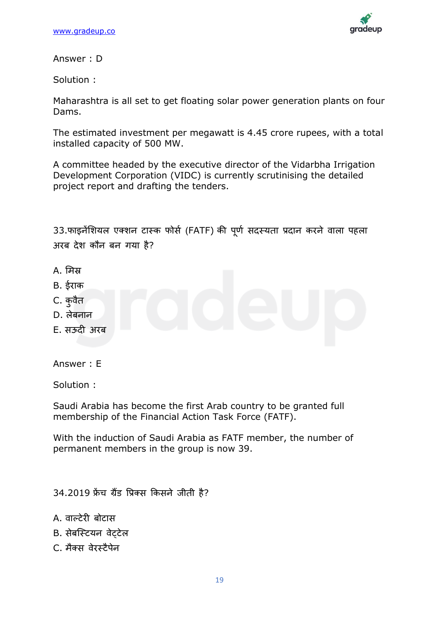

Answer : D

Solution :

Maharashtra is all set to get floating solar power generation plants on four Dams.

The estimated investment per megawatt is 4.45 crore rupees, with a total installed capacity of 500 MW.

A committee headed by the executive director of the Vidarbha Irrigation Development Corporation (VIDC) is currently scrutinising the detailed project report and drafting the tenders.

33.फाइनेंशियल एक्शन टास्क फोर्स (FATF) की पर्ण सदस्यता प्रदान करने वाला पहला अरब देश कौन बन गया है?

- A. लमस्र
- B. ईराक
- C. कुवैत
- D. िेबनान
- E. सऊदी अरब

Answer : E

Solution :

Saudi Arabia has become the first Arab country to be granted full membership of the Financial Action Task Force (FATF).

With the induction of Saudi Arabia as FATF member, the number of permanent members in the group is now 39.

34.2019 फ्रेंच ग्रैंड प्रिक्स किसने जीती है?

- A. वाल्टेरी बोटास
- B. सेबस्टियन वेटटेल
- C. मैक्स वेरस्टैपेन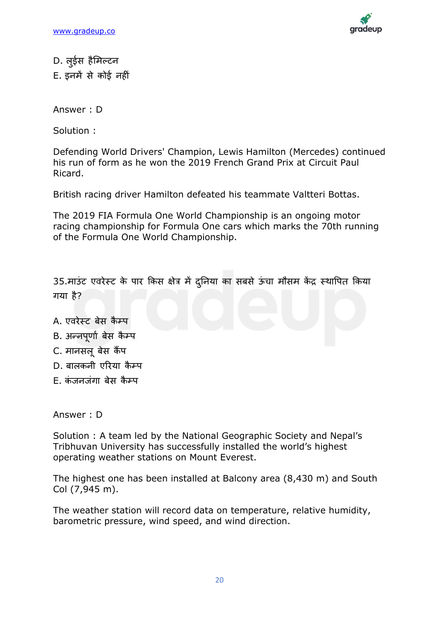

D. लुईस हैमिल्टन E. इनमें से कोई नहीिं

Answer : D

Solution :

Defending World Drivers' Champion, Lewis Hamilton (Mercedes) continued his run of form as he won the 2019 French Grand Prix at Circuit Paul Ricard.

British racing driver Hamilton defeated his teammate Valtteri Bottas.

The 2019 FIA Formula One World Championship is an ongoing motor racing championship for Formula One cars which marks the 70th running of the Formula One World Championship.

35.माउंट एवरेस्ट के पार किस क्षेत्र में दुनिया का सबसे ऊंचा मौसम केंद्र स्थापित किया गया है?

- A. एवरेस्ट बेस कैम्प
- B. अन्नपर्णा बेस कैम्प
- C. मानसल बेस कैंप
- D. बालकनी एरिया कैम्प
- $F_{\cdot}$  कंजनजंगा बेस कैम्प

Answer : D

Solution : A team led by the National Geographic Society and Nepal's Tribhuvan University has successfully installed the world's highest operating weather stations on Mount Everest.

The highest one has been installed at Balcony area (8,430 m) and South Col (7,945 m).

The weather station will record data on temperature, relative humidity, barometric pressure, wind speed, and wind direction.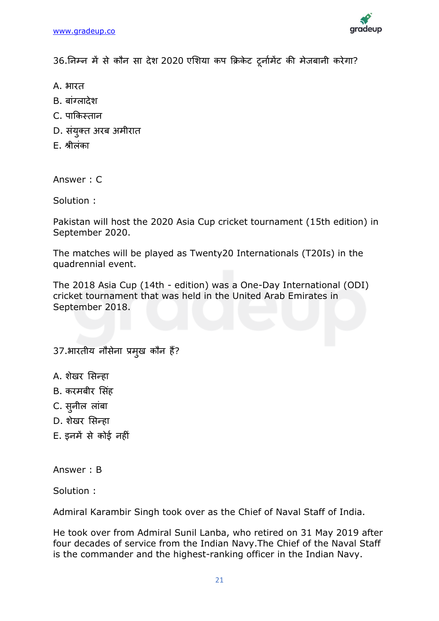

36.ननम्न में से कौन सा देश 2020 एलशया कप किकेट टूनाडमेंट की मेजबानी करेगा?

- A. भारत
- B. बांग्लादेश
- C. पाककस्तान
- D. संयुक्त अरब अमीरात
- E. श्रीलिंका

Answer : C

Solution :

Pakistan will host the 2020 Asia Cup cricket tournament (15th edition) in September 2020.

The matches will be played as Twenty20 Internationals (T20Is) in the quadrennial event.

The 2018 Asia Cup (14th - edition) was a One-Day International (ODI) cricket tournament that was held in the United Arab Emirates in September 2018.

## 37.भारतीय नौसेना प्रमखु कौन हैं?

- A. शेखर सिन्हा
- B. करमबीर सिंह
- C. सुनील लांबा
- D. शेखर सिन्हा
- E. इनमें से कोई नहीिं

Answer : B

Solution :

Admiral Karambir Singh took over as the Chief of Naval Staff of India.

He took over from Admiral Sunil Lanba, who retired on 31 May 2019 after four decades of service from the Indian Navy.The Chief of the Naval Staff is the commander and the highest-ranking officer in the Indian Navy.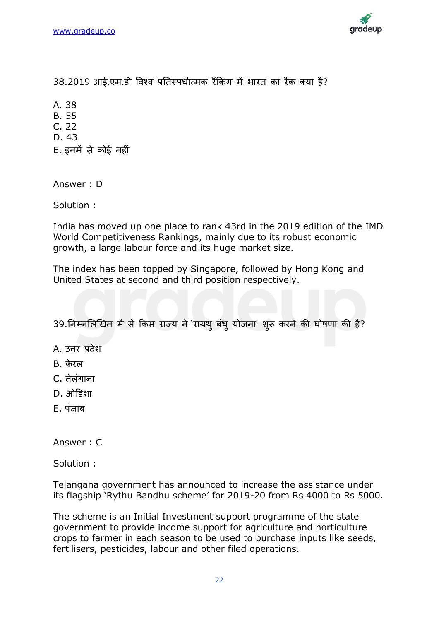

38.2019 आई.एम.डी विश्व प्रतिस्पर्धात्मक रैंकिंग में भारत का रैंक क्या है?

A. 38

B. 55

C. 22

D. 43

E. इनमें से कोई नहीिं

Answer : D

Solution :

India has moved up one place to rank 43rd in the 2019 edition of the IMD World Competitiveness Rankings, mainly due to its robust economic growth, a large labour force and its huge market size.

The index has been topped by Singapore, followed by Hong Kong and United States at second and third position respectively.

39.निम्नलिखित में से किस राज्य ने 'रायथ् बंध् योजना' शुरू करने की घोषणा की है?

A. उत्तर प्रदेश

- $B.$  केरल
- C. तेलंगाना
- $D.$  ओडिशा
- $F_{\perp}$  पंजाब

Answer : C

Solution :

Telangana government has announced to increase the assistance under its flagship 'Rythu Bandhu scheme' for 2019-20 from Rs 4000 to Rs 5000.

The scheme is an Initial Investment support programme of the state government to provide income support for agriculture and horticulture crops to farmer in each season to be used to purchase inputs like seeds, fertilisers, pesticides, labour and other filed operations.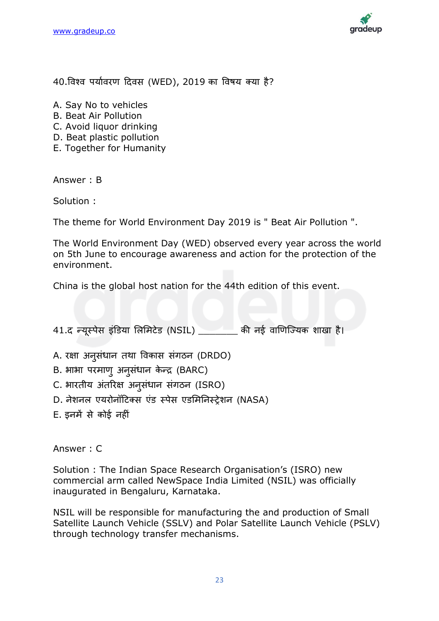

40.विश्व पर्यावरण दिवस (WED), 2019 का विषय क्या है?

A. Say No to vehicles

- B. Beat Air Pollution
- C. Avoid liquor drinking
- D. Beat plastic pollution
- E. Together for Humanity

Answer : B

Solution :

The theme for World Environment Day 2019 is " Beat Air Pollution ".

The World Environment Day (WED) observed every year across the world on 5th June to encourage awareness and action for the protection of the environment.

China is the global host nation for the 44th edition of this event.

41.द न्यूस्पेस इंडिया लिमिटेड (NSIL) \_\_\_\_\_\_\_ की नई वाणिज्यिक शाखा है।

- A. रक्षा अनुसिंधान तथा विकास सिंगठन (DRDO)
- B. भाभा परमाणु अनुसंधान केन्द्र (BARC)
- C. भारतीय अंतरिक्ष अनुसंधान संगठन (ISRO)
- D. नेशनल एयरोनॉटिक्स एंड स्पेस एडमिनिस्टेशन (NASA)
- E. इनमें से कोई नहीिं

Answer : C

Solution : The Indian Space Research Organisation's (ISRO) new commercial arm called NewSpace India Limited (NSIL) was officially inaugurated in Bengaluru, Karnataka.

NSIL will be responsible for manufacturing the and production of Small Satellite Launch Vehicle (SSLV) and Polar Satellite Launch Vehicle (PSLV) through technology transfer mechanisms.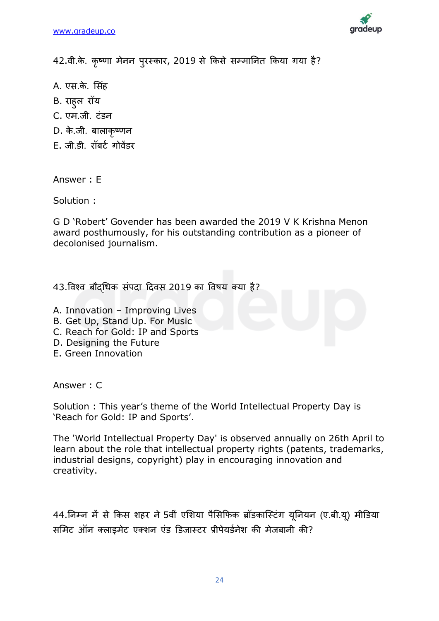

42.वी.के. कृष्णा मेनन पुरस्कार, 2019 से किसे सम्मानित किया गया है?

- A. एस.के. सिंह
- B. राहुल रॉय
- C. एम.जी. टिंडन
- D. के.जी. बालाकृष्णन
- E. जी.डी. रॉबर्ट गोवेंडर

Answer : E

Solution :

G D 'Robert' Govender has been awarded the 2019 V K Krishna Menon award posthumously, for his outstanding contribution as a pioneer of decolonised journalism.

43.विश्व बौदधिक संपदा दिवस 2019 का विषय क्या है?

- A. Innovation Improving Lives
- B. Get Up, Stand Up. For Music
- C. Reach for Gold: IP and Sports
- D. Designing the Future
- E. Green Innovation

Answer : C

Solution : This year's theme of the World Intellectual Property Day is 'Reach for Gold: IP and Sports'.

The 'World Intellectual Property Day' is observed annually on 26th April to learn about the role that intellectual property rights (patents, trademarks, industrial designs, copyright) play in encouraging innovation and creativity.

44.निम्न में से किस शहर ने 5वीं एशिया पैसिफिक ब्रॉडकास्टिंग युनियन (ए.बी.यू) मीडिया समिट ऑन क्लाइमेट एक्शन एंड डिजास्टर प्रीपेयर्डनेश की मेजबानी की?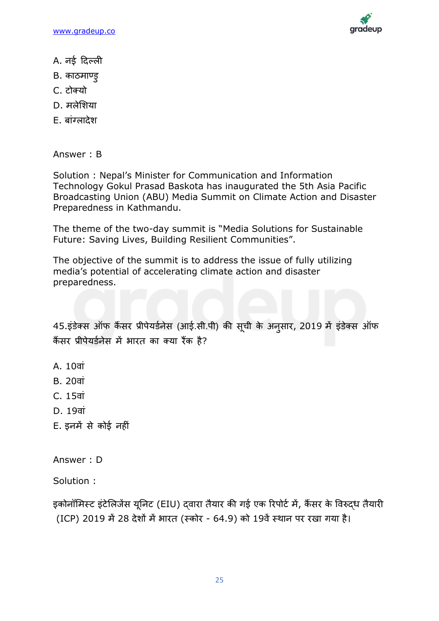[www.gradeup.co](http://www.gradeup.com/)



- A. नई दिल्ली
- B. काठमाण्डु
- C. टोक्यो
- D. मलेशिया
- E. बांग्लादेश

Answer : B

Solution : Nepal's Minister for Communication and Information Technology Gokul Prasad Baskota has inaugurated the 5th Asia Pacific Broadcasting Union (ABU) Media Summit on Climate Action and Disaster Preparedness in Kathmandu.

The theme of the two-day summit is "Media Solutions for Sustainable Future: Saving Lives, Building Resilient Communities".

The objective of the summit is to address the issue of fully utilizing media's potential of accelerating climate action and disaster preparedness.

45.इंडेक्स ऑफ कैंसर प्रीपेयर्डनेस (आई.सी.पी) की सूची के अनुसार, 2019 में इंडेक्स ऑफ कैंसर प्रीपेयर्डनेस में भारत का क्या रैंक है?

- A. 10वां
- B. 20<sub>ai</sub>
- C. 15िािं
- $D. 19$ वां
- E. इनमें से कोई नहीिं

Answer : D

Solution :

इकोनॉमिस्ट इंटेलिजेंस यूनिट (EIU) दवारा तैयार की गई एक रिपोर्ट में, कैंसर के विरुदध तैयारी (ICP) 2019 में 28 देशों में भारत (स्कोर - 64.9) को 19वें स्थान पर रखा गया है।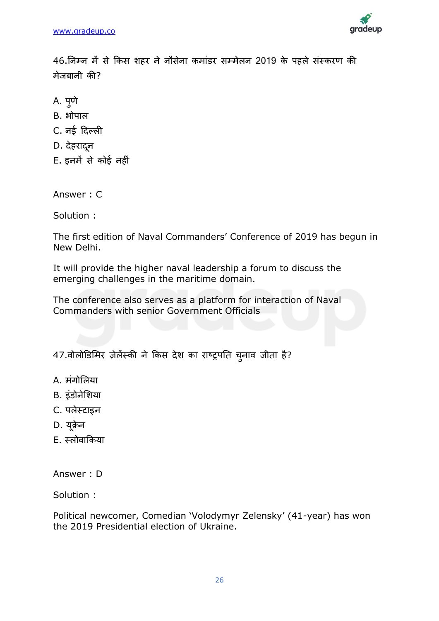

46.निम्न में से किस शहर ने नौसेना कमांडर सम्मेलन 2019 के पहले संस्करण की मेजबानी की?

- A. पुणे
- $B.$  भोपाल
- C. नई दिल्ली
- D. देहरादनू
- E. इनमें से कोई नहीिं

Answer : C

Solution :

The first edition of Naval Commanders' Conference of 2019 has begun in New Delhi.

It will provide the higher naval leadership a forum to discuss the emerging challenges in the maritime domain.

The conference also serves as a platform for interaction of Naval Commanders with senior Government Officials

47.वोलोडिमिर ज़ेलेंस्की ने किस देश का राष्ट्रपति चुनाव जीता है?

- A. मिंगोलिया
- B. इिंडोनेलशया
- C. पलेस्टाइन
- D. यूक्रेन
- E. स्लोवाकिया

Answer : D

Solution :

Political newcomer, Comedian 'Volodymyr Zelensky' (41-year) has won the 2019 Presidential election of Ukraine.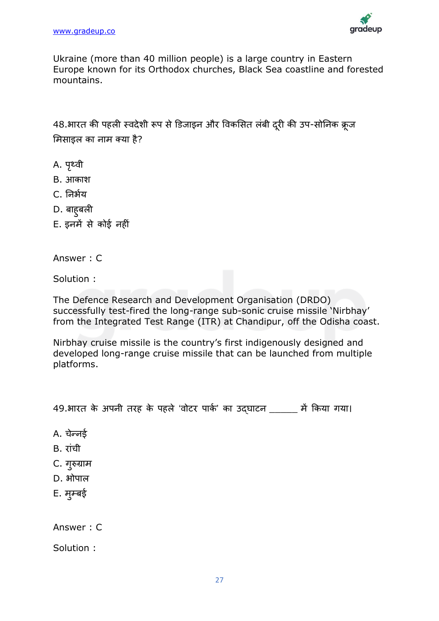

Ukraine (more than 40 million people) is a large country in Eastern Europe known for its Orthodox churches, Black Sea coastline and forested mountains.

48.भारत की पहली स्वदेशी रूप से डिजाइन और विकसित लंबी दरी की उप-सोनिक क्रूज मिसाइल का नाम क्या है?

- A. पृथ्वी
- B. आकाश
- C. निर्भय
- D. बाहुबली
- E. इनमें से कोई नहीिं

Answer : C

Solution :

The Defence Research and Development Organisation (DRDO) successfully test-fired the long-range sub-sonic cruise missile 'Nirbhay' from the Integrated Test Range (ITR) at Chandipur, off the Odisha coast.

Nirbhay cruise missile is the country's first indigenously designed and developed long-range cruise missile that can be launched from multiple platforms.

49.भारत के अपनी तरह के पहले 'वोटर पार्क' का उदघाटन \_\_\_\_\_ में किया गया।

A. चेन्नई

- B. रांची
- C. गुरुग्राम
- D. भोपाल
- E. मुम्बई

Answer : C

Solution :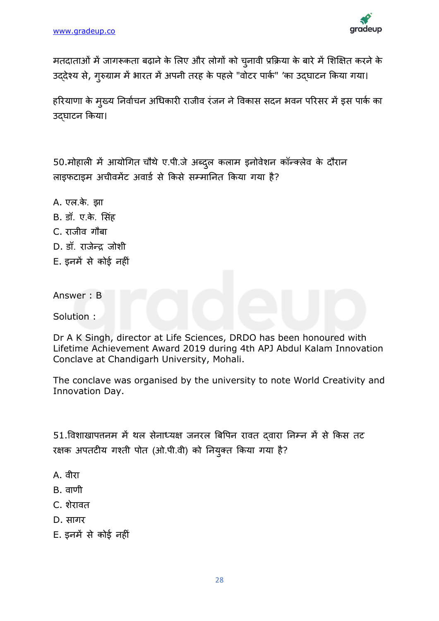

मतदाताओं में जागरूकता बढ़ाने के लिए और लोगों को चुनावी प्रक्रिया के बारे में शिक्षित करने के उददेश्य से, गुरुग्राम में भारत में अपनी तरह के पहले "वोटर पार्क" 'का उदघाटन किया गया।

हरियाणा के मुख्य निर्वाचन अधिकारी राजीव रंजन ने विकास सदन भवन परिसर में इस पार्क का उदघाटन किया।

50.मोहाली में आयोगित चौथे ए.पी.जे अब्दुल कलाम इनोवेशन कॉन्क्लेव के दौरान लाइफटाइम अचीवमेंट अवार्ड से किसे सम्मानित किया गया है?

A. एल.के. झा B. डॉ. ए.के. सिंह C. राजीव गौबा D. डॉ. राजेन्द जोशी E. इनमें से कोई नहीिं

Answer : B

Solution :

Dr A K Singh, director at Life Sciences, DRDO has been honoured with Lifetime Achievement Award 2019 during 4th APJ Abdul Kalam Innovation Conclave at Chandigarh University, Mohali.

The conclave was organised by the university to note World Creativity and Innovation Day.

51.विशाखापत्तनम में थल सेनाध्यक्ष जनरल बिपिन रावत दवारा निम्न में से किस तट रक्षक अपतटीय गवती पोत (ओ.पी.िी) को ननयुक्त ककया गया है?

- A. िीरा
- B. *andf*
- C. शेरावत
- D. सागर
- E. इनमें से कोई नहीिं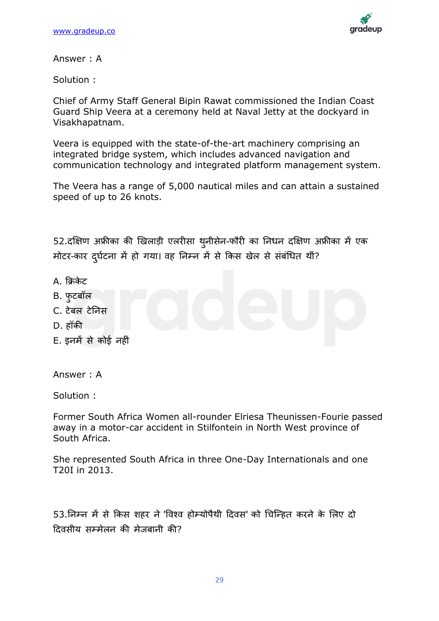

Answer : A

Solution :

Chief of Army Staff General Bipin Rawat commissioned the Indian Coast Guard Ship Veera at a ceremony held at Naval Jetty at the dockyard in Visakhapatnam.

Veera is equipped with the state-of-the-art machinery comprising an integrated bridge system, which includes advanced navigation and communication technology and integrated platform management system.

The Veera has a range of 5,000 nautical miles and can attain a sustained speed of up to 26 knots.

52.दक्षिण अफ्रीका की खिलाड़ी एलरीसा थ़नीसेन-फौरी का निधन दक्षिण अफ्रीका में एक मोटर-कार दर्घटना में हो गया। वह निम्न में से किस खेल से संबंधित थीं?

- $A$ , किकेट
- B. फुटबॉल
- C. टेबल टेनिस
- D. हॉकी
- E. इनमें से कोई नहीिं

Answer : A

Solution :

Former South Africa Women all-rounder Elriesa Theunissen-Fourie passed away in a motor-car accident in Stilfontein in North West province of South Africa.

She represented South Africa in three One-Day Internationals and one T20I in 2013.

53.ननम्न में से ककस शहर ने'विवि होम्योपैथी ट्रदिस' को चचजन्हत करने के लिए दो ट्रदिसीय सम्मेिन की मेजबानी की?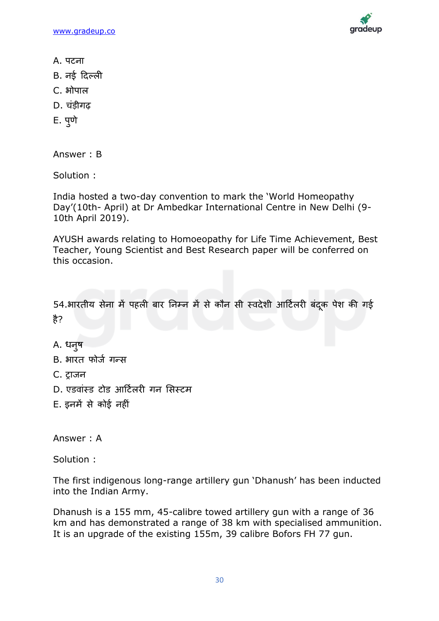[www.gradeup.co](http://www.gradeup.com/)



- A. पटना
- B. नई दिल्ली
- C. भोपाल
- D. चिंडीगढ़
- E. पुणे

Answer : B

Solution :

India hosted a two-day convention to mark the 'World Homeopathy Day'(10th- April) at Dr Ambedkar International Centre in New Delhi (9- 10th April 2019).

AYUSH awards relating to Homoeopathy for Life Time Achievement, Best Teacher, Young Scientist and Best Research paper will be conferred on this occasion.

54.भारतीय सेना में पहली बार निम्न में से कौन सी स्वदेशी आर्टिलरी बंदक पेश की गई है?

A. धन्**ष** 

- B. भारत फोर्ज गन्स
- C. ट्राजन
- D. एडवांस्ड टोड आर्टिलरी गन सिस्टम
- E. इनमें से कोई नहीिं

Answer : A

Solution :

The first indigenous long-range artillery gun 'Dhanush' has been inducted into the Indian Army.

Dhanush is a 155 mm, 45-calibre towed artillery gun with a range of 36 km and has demonstrated a range of 38 km with specialised ammunition. It is an upgrade of the existing 155m, 39 calibre Bofors FH 77 gun.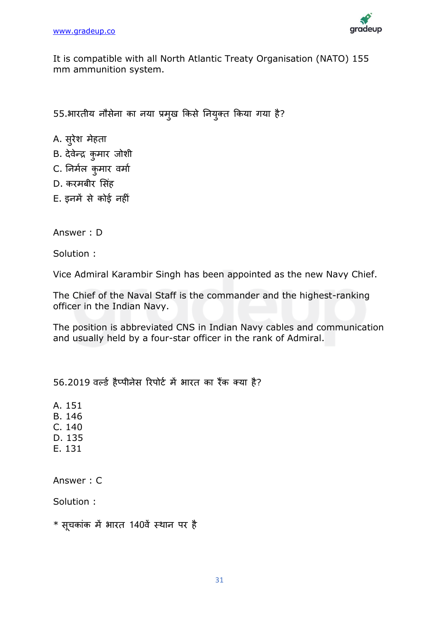

It is compatible with all North Atlantic Treaty Organisation (NATO) 155 mm ammunition system.

55.भारतीय नौसेना का नया प्रमुख किसे नियुक्त किया गया है?

- A. सुरेश मेहता
- B. देवेन्द्र कुमार जोशी
- C. निर्मल कुमार वर्मा
- D. करमबीर सिंह
- E. इनमें से कोई नहीिं

Answer : D

Solution :

Vice Admiral Karambir Singh has been appointed as the new Navy Chief.

The Chief of the Naval Staff is the commander and the highest-ranking officer in the Indian Navy.

The position is abbreviated CNS in Indian Navy cables and communication and usually held by a four-star officer in the rank of Admiral.

56.2019 वर्ल्ड हैप्पीनेस रिपोर्ट में भारत का रैंक क्या है?

A. 151

- B. 146
- C. 140
- D. 135
- E. 131

Answer : C

Solution :

 $*$  सूचकांक में भारत 140वें स्थान पर है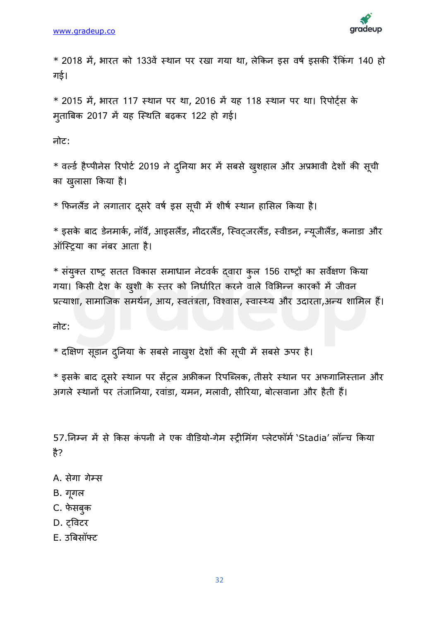

 $*$  2018 में, भारत को 133वें स्थान पर रखा गया था, लेकिन इस वर्ष इसकी रैंकिंग 140 हो गई।

 $*$  2015 में, भारत 117 स्थान पर था, 2016 में यह 118 स्थान पर था। रिपोर्टस के मुताबबक 2017 में यह जस्थनत बढ़कर 122 हो गई।

नोट:

 $*$  वर्ल्ड हैप्पीनेस रिपोर्ट 2019 ने दुनिया भर में सबसे खुशहाल और अप्रभावी देशों की सूची का खुलासा किया है।

\* फिनलैंड ने लगातार दूसरे वर्ष इस सूची में शीर्ष स्थान हासिल किया है।

 $*$  इसके बाद डेनमार्क, नॉर्वे, आइसलैंड, नीदरलैंड, स्विट्जरलैंड, स्वीडन, न्यूजीलैंड, कनाडा और ऑजस्िया का निंबर आता है।

 $*$  संयुक्त राष्ट्र सतत विकास समाधान नेटवर्क द्वारा कुल 156 राष्ट्रों का सर्वेक्षण किया गया। किसी देश के खुशी के स्तर को निर्धारित करने वाले विभिन्न कारकों में जीवन प्रत्याशा, सामाजिक समर्थन, आय, स्वतंत्रता, विश्वास, स्वास्थ्य और उदारता,अन्य शामिल हैं।

नोट:

\* दक्षक्षण सूडान दनुनया के सबसे नाखशु देशों की सूची में सबसे ऊपर है।

 $*$  इसके बाद दूसरे स्थान पर सेंट्रल अफ्रीकन रिपब्लिक, तीसरे स्थान पर अफगानिस्तान और अगले स्थानों पर तंजानिया, रवांडा, यमन, मलावी, सीरिया, बोत्सवाना और हैती हैं।

57.निम्न में से किस कंपनी ने एक वीडियो-गेम स्ट्रीमिंग प्लेटफॉर्म 'Stadia' लॉन्च किया है?

- A. सेगा गेम्स
- B. गूगि
- C. फेसबुक
- D. ट्विटर
- E. उबबसॉफ्ट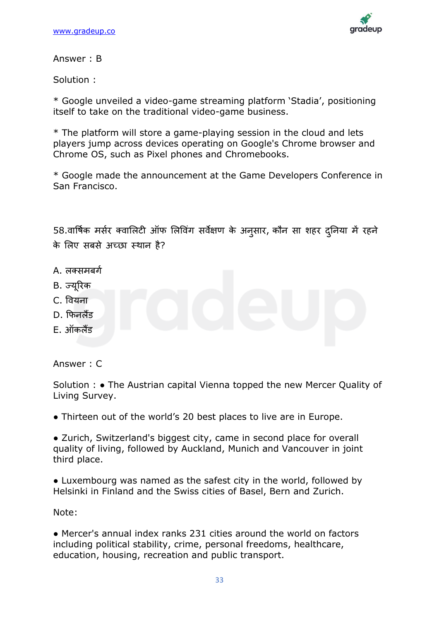

Answer : B

Solution :

\* Google unveiled a video-game streaming platform 'Stadia', positioning itself to take on the traditional video-game business.

\* The platform will store a game-playing session in the cloud and lets players jump across devices operating on Google's Chrome browser and Chrome OS, such as Pixel phones and Chromebooks.

\* Google made the announcement at the Game Developers Conference in San Francisco.

58.वार्षिक मर्सर क्वालिटी ऑफ लिविंग सर्वेक्षण के अनुसार, कौन सा शहर दुनिया में रहने के लिए सबसे अच्छा स्थान है?

- A. लक्समबर्ग
- B. ज्यररकू
- C. वियना
- D. कफनिैंड
- E. ऑकिैंड

Answer : C

Solution : ● The Austrian capital Vienna topped the new Mercer Quality of Living Survey.

• Thirteen out of the world's 20 best places to live are in Europe.

• Zurich, Switzerland's biggest city, came in second place for overall quality of living, followed by Auckland, Munich and Vancouver in joint third place.

• Luxembourg was named as the safest city in the world, followed by Helsinki in Finland and the Swiss cities of Basel, Bern and Zurich.

Note:

● Mercer's annual index ranks 231 cities around the world on factors including political stability, crime, personal freedoms, healthcare, education, housing, recreation and public transport.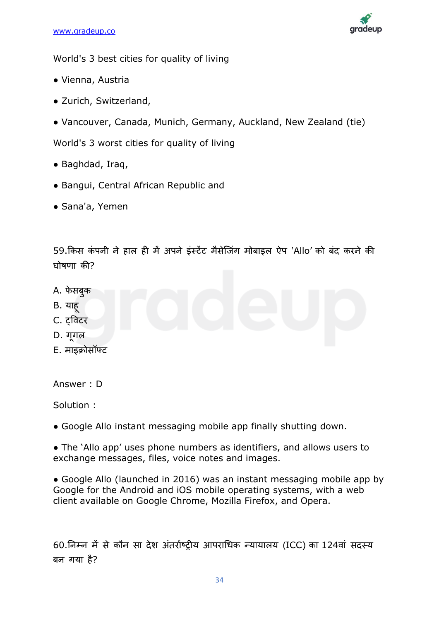

World's 3 best cities for quality of living

- Vienna, Austria
- Zurich, Switzerland,
- Vancouver, Canada, Munich, Germany, Auckland, New Zealand (tie)

World's 3 worst cities for quality of living

- Baghdad, Iraq,
- Bangui, Central African Republic and
- Sana'a, Yemen

59.किस कंपनी ने हाल ही में अपने इंस्टेंट मैसेजिंग मोबाइल ऐप 'Allo' को बंद करने की घोिणा की?

- A. फेसबक
- B. याहू
- C. ट्विटर
- D. गुगल
- E. माइक्रोसॉफ्ट

Answer : D

Solution :

• Google Allo instant messaging mobile app finally shutting down.

• The 'Allo app' uses phone numbers as identifiers, and allows users to exchange messages, files, voice notes and images.

• Google Allo (launched in 2016) was an instant messaging mobile app by Google for the Android and iOS mobile operating systems, with a web client available on Google Chrome, Mozilla Firefox, and Opera.

60.ननम्न में से कौन सा देश अिंतराडष्िीय आपराचधक न्यायािय (ICC) का 124िािं सदस्य बन गया है?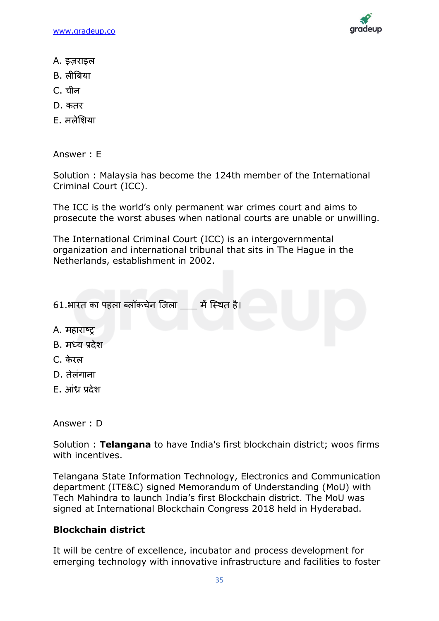[www.gradeup.co](http://www.gradeup.com/)



- A. इज़राइल
- B. लीबिया
- C. चीन
- D. कतर
- E. मिेलशया

Answer : E

Solution : Malaysia has become the 124th member of the International Criminal Court (ICC).

The ICC is the world's only permanent war crimes court and aims to prosecute the worst abuses when national courts are unable or unwilling.

The International Criminal Court (ICC) is an intergovernmental organization and international tribunal that sits in The Hague in the Netherlands, establishment in 2002.

| 61.भारत का पहला ब्लॉकचेन जिला में स्थित है। |  |  |
|---------------------------------------------|--|--|
| A. महाराष्ट्र                               |  |  |
| B. मध्य प्रदेश                              |  |  |
| C. केरल                                     |  |  |

- 
- D. तेलंगाना
- E. आिंध्र प्रदेश

Answer : D

Solution : **Telangana** to have India's first blockchain district; woos firms with incentives.

Telangana State Information Technology, Electronics and Communication department (ITE&C) signed Memorandum of Understanding (MoU) with Tech Mahindra to launch India's first Blockchain district. The MoU was signed at International Blockchain Congress 2018 held in Hyderabad.

## **Blockchain district**

It will be centre of excellence, incubator and process development for emerging technology with innovative infrastructure and facilities to foster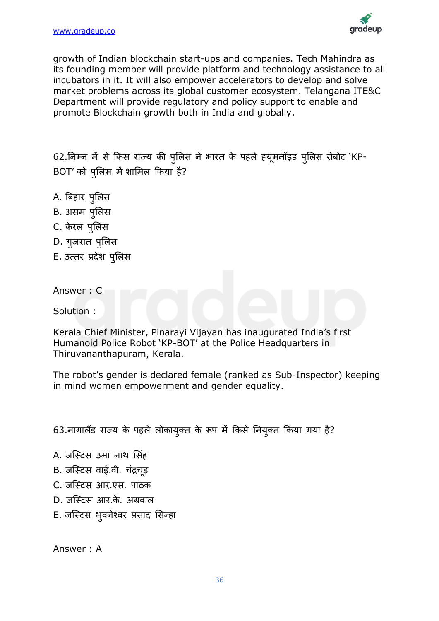

growth of Indian blockchain start-ups and companies. Tech Mahindra as its founding member will provide platform and technology assistance to all incubators in it. It will also empower accelerators to develop and solve market problems across its global customer ecosystem. Telangana ITE&C Department will provide regulatory and policy support to enable and promote Blockchain growth both in India and globally.

62.निम्न में से किस राज्य की पुलिस ने भारत के पहले ह्यूमनॉइड पुलिस रोबोट 'KP-BOT' को पुलिस में शामिल किया है?

- A. बबहार पुलिस
- B. असम पुलिस
- C. केरल पुलिस
- D. गुजरात पुलिस
- E. उत्तर प्रदेश पुलिस

Answer : C

Solution :

Kerala Chief Minister, Pinarayi Vijayan has inaugurated India's first Humanoid Police Robot 'KP-BOT' at the Police Headquarters in Thiruvananthapuram, Kerala.

The robot's gender is declared female (ranked as Sub-Inspector) keeping in mind women empowerment and gender equality.

63.नागालैंड राज्य के पहले लोकायुक्त के रूप में किसे नियुक्त किया गया है?

- A. जजस्टस उमा नाथ लसिंह
- B. जस्टिस वाई.वी. चंद्रचड़
- C. जजस्टस आर.एस. पाठक
- D. जजस्टस आर.के . अग्रिाि
- E. जस्टिस भूवनेश्वर प्रसाद सिन्हा

Answer : A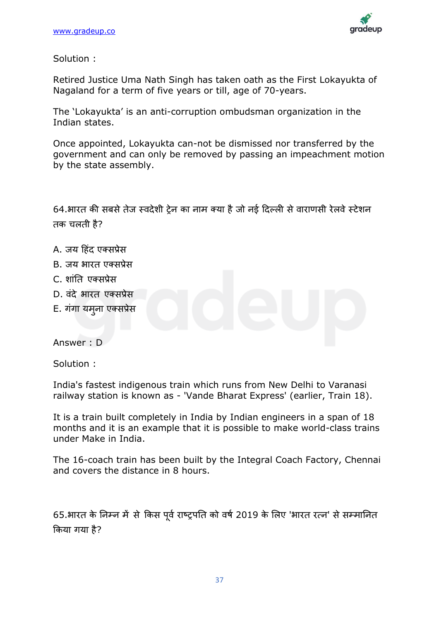

Solution :

Retired Justice Uma Nath Singh has taken oath as the First Lokayukta of Nagaland for a term of five years or till, age of 70-years.

The 'Lokayukta' is an anti-corruption ombudsman organization in the Indian states.

Once appointed, Lokayukta can-not be dismissed nor transferred by the government and can only be removed by passing an impeachment motion by the state assembly.

64.भारत की सबसे तेज स्वदेशी टेन का नाम क्या है जो नई दिल्ली से वाराणसी रेलवे स्टेशन तक चलती है?

- A. जय दहिंद एक्सप्रेस
- B. जय भारत एक्सप्रेस
- C. शांति एक्सप्रेस
- D. वंदे भारत एक्सप्रेस
- E. गंगा यमुना एक्सप्रेस

Answer : D

Solution :

India's fastest indigenous train which runs from New Delhi to Varanasi railway station is known as - 'Vande Bharat Express' (earlier, Train 18).

It is a train built completely in India by Indian engineers in a span of 18 months and it is an example that it is possible to make world-class trains under Make in India.

The 16-coach train has been built by the Integral Coach Factory, Chennai and covers the distance in 8 hours.

65.भारत के निम्न में से किस पर्व राष्ट्रपति को वर्ष 2019 के लिए 'भारत रत्न' से सम्मानित क्रकया गया है?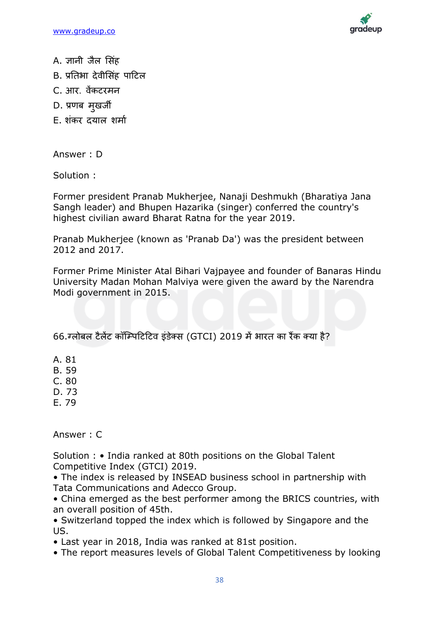

- A. ज्ञानी जैल सिंह
- B. प्रतिभा देवीसिंह पाटिल
- C. आर. िेंकटरमन
- D. प्रणब मुखजी
- E. शंकर दयाल शर्मा

Answer : D

Solution :

Former president Pranab Mukherjee, Nanaji Deshmukh (Bharatiya Jana Sangh leader) and Bhupen Hazarika (singer) conferred the country's highest civilian award Bharat Ratna for the year 2019.

Pranab Mukherjee (known as 'Pranab Da') was the president between 2012 and 2017.

Former Prime Minister Atal Bihari Vajpayee and founder of Banaras Hindu University Madan Mohan Malviya were given the award by the Narendra Modi government in 2015.

66.ग्लोिल टैलेंट कॉजम्पदटदटव इिंडेक्स (GTCI) 2019 मेंभारत का रैंक क्या है?

A. 81

B. 59

C. 80

D. 73

E. 79

Answer : C

Solution : • India ranked at 80th positions on the Global Talent Competitive Index (GTCI) 2019.

• The index is released by INSEAD business school in partnership with Tata Communications and Adecco Group.

• China emerged as the best performer among the BRICS countries, with an overall position of 45th.

• Switzerland topped the index which is followed by Singapore and the US.

• Last year in 2018, India was ranked at 81st position.

• The report measures levels of Global Talent Competitiveness by looking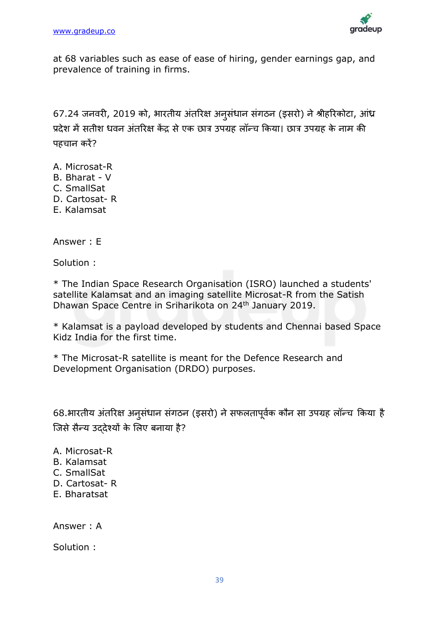

at 68 variables such as ease of ease of hiring, gender earnings gap, and prevalence of training in firms.

67.24 जनवरी, 2019 को, भारतीय अंतरिक्ष अनुसंधान संगठन (इसरो) ने श्रीहरिकोटा, आंध्र प्रदेश में सतीश धवन अंतरिक्ष केंद्र से एक छात्र उपग्रह लॉन्च किया। छात्र उपग्रह के नाम की पहचान करें?

- A. Microsat-R
- B. Bharat V
- C. SmallSat
- D. Cartosat- R
- E. Kalamsat

Answer : E

Solution :

\* The Indian Space Research Organisation (ISRO) launched a students' satellite Kalamsat and an imaging satellite Microsat-R from the Satish Dhawan Space Centre in Sriharikota on 24<sup>th</sup> January 2019.

\* Kalamsat is a payload developed by students and Chennai based Space Kidz India for the first time.

\* The Microsat-R satellite is meant for the Defence Research and Development Organisation (DRDO) purposes.

68.भारतीय अंतरिक्ष अनुसंधान संगठन (इसरो) ने सफलतापूर्वक कौन सा उपग्रह लॉन्च किया है जिसे सैन्य उददेश्यों के लिए बनाया है?

A. Microsat-R

- B. Kalamsat
- C. SmallSat
- D. Cartosat- R
- E. Bharatsat

Answer : A

Solution :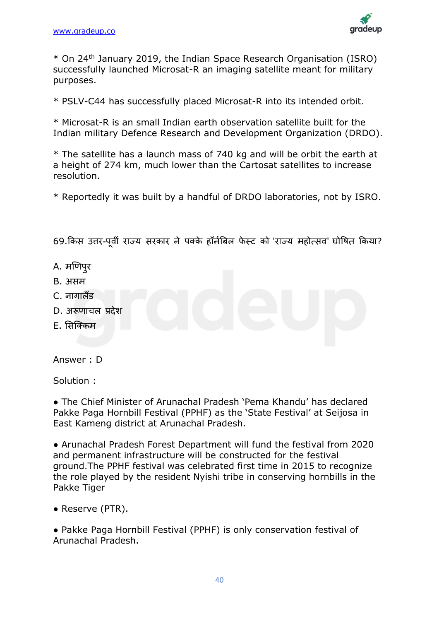

\* On 24th January 2019, the Indian Space Research Organisation (ISRO) successfully launched Microsat-R an imaging satellite meant for military purposes.

\* PSLV-C44 has successfully placed Microsat-R into its intended orbit.

\* Microsat-R is an small Indian earth observation satellite built for the Indian military Defence Research and Development Organization (DRDO).

\* The satellite has a launch mass of 740 kg and will be orbit the earth at a height of 274 km, much lower than the Cartosat satellites to increase resolution.

\* Reportedly it was built by a handful of DRDO laboratories, not by ISRO.

69.किस उत्तर-पूर्वी राज्य सरकार ने पक्के हॉर्नबिल फेस्ट को 'राज्य महोत्सव' घोषित किया?

- A. मणिपुर
- B. असम
- $C$  नागा $\vec{a}$ ंद
- D. अरूणाचल प्रदेश
- $F.$  सिक्किम

Answer : D

Solution :

• The Chief Minister of Arunachal Pradesh 'Pema Khandu' has declared Pakke Paga Hornbill Festival (PPHF) as the 'State Festival' at Seijosa in East Kameng district at Arunachal Pradesh.

● Arunachal Pradesh Forest Department will fund the festival from 2020 and permanent infrastructure will be constructed for the festival ground.The PPHF festival was celebrated first time in 2015 to recognize the role played by the resident Nyishi tribe in conserving hornbills in the Pakke Tiger

● Reserve (PTR).

● Pakke Paga Hornbill Festival (PPHF) is only conservation festival of Arunachal Pradesh.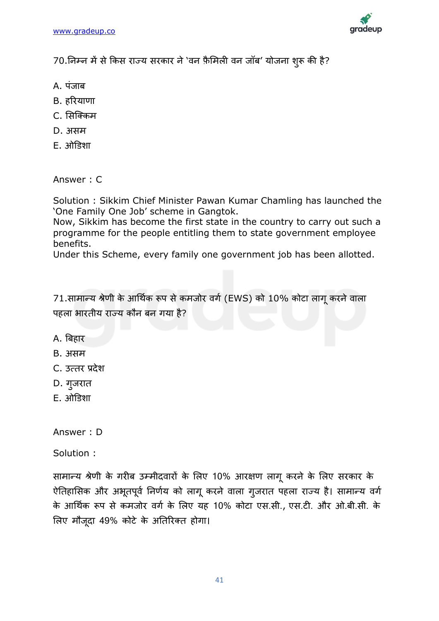

70.निम्न में से किस राज्य सरकार ने 'वन फ़ैमिली वन जॉब' योजना शुरू की है?

- A. पंजाब
- B. हररयाणा
- C. ससजक्कम
- D. असम
- E. ओडडशा

Answer : C

Solution : Sikkim Chief Minister Pawan Kumar Chamling has launched the 'One Family One Job' scheme in Gangtok.

Now, Sikkim has become the first state in the country to carry out such a programme for the people entitling them to state government employee benefits.

Under this Scheme, every family one government job has been allotted.

71.सामान्य श्रेणी के आर्थिक रूप से कमजोर वर्ग (EWS) को 10% कोटा लागू करने वाला पहला भारतीय राज्य कौन बन गया है?

- A. बिहार
- B. असम
- C. उत्तर प्रदेश
- D. गुजरात
- $E.$   $\overline{3}$  $\overline{1}$  $\overline{5}$  $\overline{3}$  $\overline{1}$  $\overline{5}$

Answer : D

Solution :

सामान्य श्रेणी के गरीब उम्मीदवारों के लिए 10% आरक्षण लागू करने के लिए सरकार के ऐतिहासिक और अभूतपूर्व निर्णय को लागू करने वाला गुजरात पहला राज्य है। सामान्य वर्ग के आर्थिक रूप से कमजोर वर्ग के लिए यह 10% कोटा एस.सी., एस.टी. और ओ.बी.सी. के लिए मौजूदा 49% कोटे के अतिरिक्त होगा।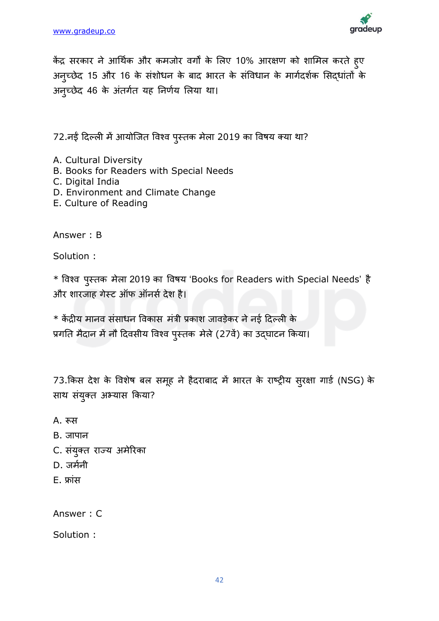

केंद्र सरकार ने आर्थिक और कमजोर वर्गों के लिए 10% आरक्षण को शामिल करते हुए अनुच्छेद 15 और 16 के संशोधन के बाद भारत के संविधान के मार्गदर्शक सिद्धांतों के अनुच्छेद 46 के अंतर्गत यह निर्णय लिया था।

72.नईं दिल्ली में आयोजित विश्व पुस्तक मेला 2019 का विषय क्या था?

- A. Cultural Diversity
- B. Books for Readers with Special Needs
- C. Digital India
- D. Environment and Climate Change
- E. Culture of Reading

Answer : B

Solution :

 $*$  विश्व पुस्तक मेला 2019 का विषय 'Books for Readers with Special Needs' है और शारजाह गेस्ट ऑफ ऑनर्स देश है।

 $*$  केंद्रीय मानव संसाधन विकास मंत्री प्रकाश जावड़ेकर ने नई दिल्ली के प्रगति मैदान में नौ दिवसीय विश्व पुस्तक मेले (27वें) का उदघाटन किया।

73.किस देश के विशेष बल समूह ने हैदराबाद में भारत के राष्ट्रीय सुरक्षा गार्ड (NSG) के साथ संयुक्त अभ्यास किया?

- A. रूस
- B. जापान
- C. संयुक्त राज्य अमेरिका
- D. जर्मनी
- E. फ्ािंस

Answer : C

Solution :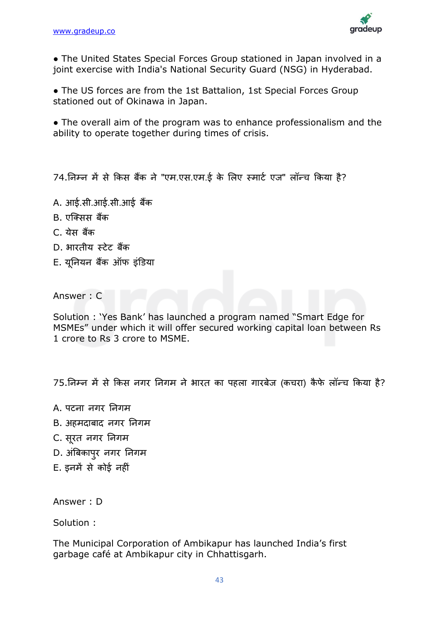

● The United States Special Forces Group stationed in Japan involved in a joint exercise with India's National Security Guard (NSG) in Hyderabad.

• The US forces are from the 1st Battalion, 1st Special Forces Group stationed out of Okinawa in Japan.

• The overall aim of the program was to enhance professionalism and the ability to operate together during times of crisis.

74.निम्न में से किस बैंक ने "एम.एस.एम.ई के लिए स्मार्ट एज" लॉन्च किया है?

- A. आई.सी.आई.सी.आई बैंक
- B. एजक्सस बैंक
- C. येस बैंक
- D. भारतीय स्टेट बैंक
- E. यूननयन बकैं ऑफ इिंडडया

Answer : C

Solution : 'Yes Bank' has launched a program named "Smart Edge for MSMEs" under which it will offer secured working capital loan between Rs 1 crore to Rs 3 crore to MSME.

75.निम्न में से किस नगर निगम ने भारत का पहला गारबेज (कचरा) कैफे लॉन्च किया है?

- A. पटना नगर ननगम
- B. अहमदाबाद नगर ननगम
- C. सूरत नगर ननगम
- D. अंबिकापुर नगर निगम
- E. इनमें से कोई नहीिं

Answer : D

Solution :

The Municipal Corporation of Ambikapur has launched India's first garbage café at Ambikapur city in Chhattisgarh.